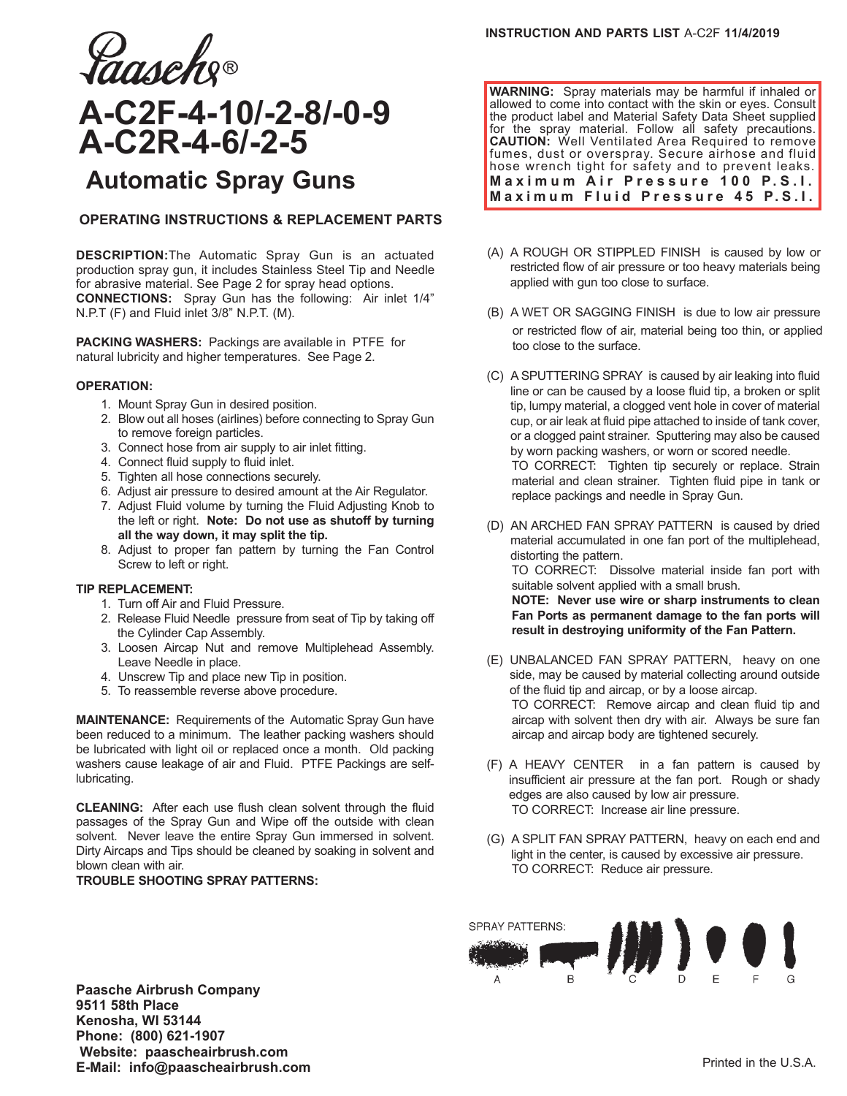

# **A-C2F-4-10/-2-8/-0-9 A-C2R-4-6/-2-5**

## **Automatic Spray Guns**

## **OPERATING INSTRUCTIONS & REPLACEMENT PARTS**

**DESCRIPTION:**The Automatic Spray Gun is an actuated production spray gun, it includes Stainless Steel Tip and Needle for abrasive material. See Page 2 for spray head options. **CONNECTIONS:** Spray Gun has the following: Air inlet 1/4" N.P.T (F) and Fluid inlet 3/8" N.P.T. (M).

**PACKING WASHERS:** Packings are available in PTFE for natural lubricity and higher temperatures. See Page 2.

### **OPERATION:**

- 1. Mount Spray Gun in desired position.
- 2. Blow out all hoses (airlines) before connecting to Spray Gun to remove foreign particles.
- 3. Connect hose from air supply to air inlet fitting.
- 4. Connect fluid supply to fluid inlet.
- 5. Tighten all hose connections securely.
- 6. Adjust air pressure to desired amount at the Air Regulator.
- 7. Adjust Fluid volume by turning the Fluid Adjusting Knob to the left or right. **Note: Do not use as shutoff by turning all the way down, it may split the tip.**
- 8. Adjust to proper fan pattern by turning the Fan Control Screw to left or right.

### **TIP REPLACEMENT:**

- 1. Turn off Air and Fluid Pressure.
- 2. Release Fluid Needle pressure from seat of Tip by taking off the Cylinder Cap Assembly.
- 3. Loosen Aircap Nut and remove Multiplehead Assembly. Leave Needle in place.
- 4. Unscrew Tip and place new Tip in position.
- 5. To reassemble reverse above procedure.

**MAINTENANCE:** Requirements of the Automatic Spray Gun have been reduced to a minimum. The leather packing washers should be lubricated with light oil or replaced once a month. Old packing washers cause leakage of air and Fluid. PTFE Packings are selflubricating.

**CLEANING:** After each use flush clean solvent through the fluid passages of the Spray Gun and Wipe off the outside with clean solvent. Never leave the entire Spray Gun immersed in solvent. Dirty Aircaps and Tips should be cleaned by soaking in solvent and blown clean with air.

### **TROUBLE SHOOTING SPRAY PATTERNS:**

**Paasche Airbrush Company 9511 58th Place Kenosha, WI 53144 Phone: (800) 621-1907 Website: paascheairbrush.com E-Mail: info@paascheairbrush.com Printed in the U.S.A.** 

**WARNING:** Spray materials may be harmful if inhaled or allowed to come into contact with the skin or eyes. Consult the product label and Material Safety Data Sheet supplied for the spray material. Follow all safety precautions. **CAUTION:** Well Ventilated Area Required to remove fumes, dust or overspray. Secure airhose and fluid hose wrench tight for safety and to prevent leaks. **Maximum Air Pressure 100 P.S.I. Maximum Fluid Pressure 45 P.S.I.** 

- (A) A ROUGH OR STIPPLED FINISH is caused by low or restricted flow of air pressure or too heavy materials being applied with gun too close to surface.
- (B) A WET OR SAGGING FINISH is due to low air pressure or restricted flow of air, material being too thin, or applied too close to the surface.
- (C) A SPUTTERING SPRAY is caused by air leaking into fluid line or can be caused by a loose fluid tip, a broken or split tip, lumpy material, a clogged vent hole in cover of material cup, or air leak at fluid pipe attached to inside of tank cover, or a clogged paint strainer. Sputtering may also be caused by worn packing washers, or worn or scored needle. TO CORRECT: Tighten tip securely or replace. Strain material and clean strainer. Tighten fluid pipe in tank or replace packings and needle in Spray Gun.
- (D) AN ARCHED FAN SPRAY PATTERN is caused by dried material accumulated in one fan port of the multiplehead, distorting the pattern. TO CORRECT: Dissolve material inside fan port with suitable solvent applied with a small brush. **NOTE: Never use wire or sharp instruments to clean**

**Fan Ports as permanent damage to the fan ports will result in destroying uniformity of the Fan Pattern.**

- (E) UNBALANCED FAN SPRAY PATTERN, heavy on one side, may be caused by material collecting around outside of the fluid tip and aircap, or by a loose aircap. TO CORRECT: Remove aircap and clean fluid tip and aircap with solvent then dry with air. Always be sure fan aircap and aircap body are tightened securely.
- (F) A HEAVY CENTER in a fan pattern is caused by insufficient air pressure at the fan port. Rough or shady edges are also caused by low air pressure. TO CORRECT: Increase air line pressure.
- (G) A SPLIT FAN SPRAY PATTERN, heavy on each end and light in the center, is caused by excessive air pressure. TO CORRECT: Reduce air pressure.

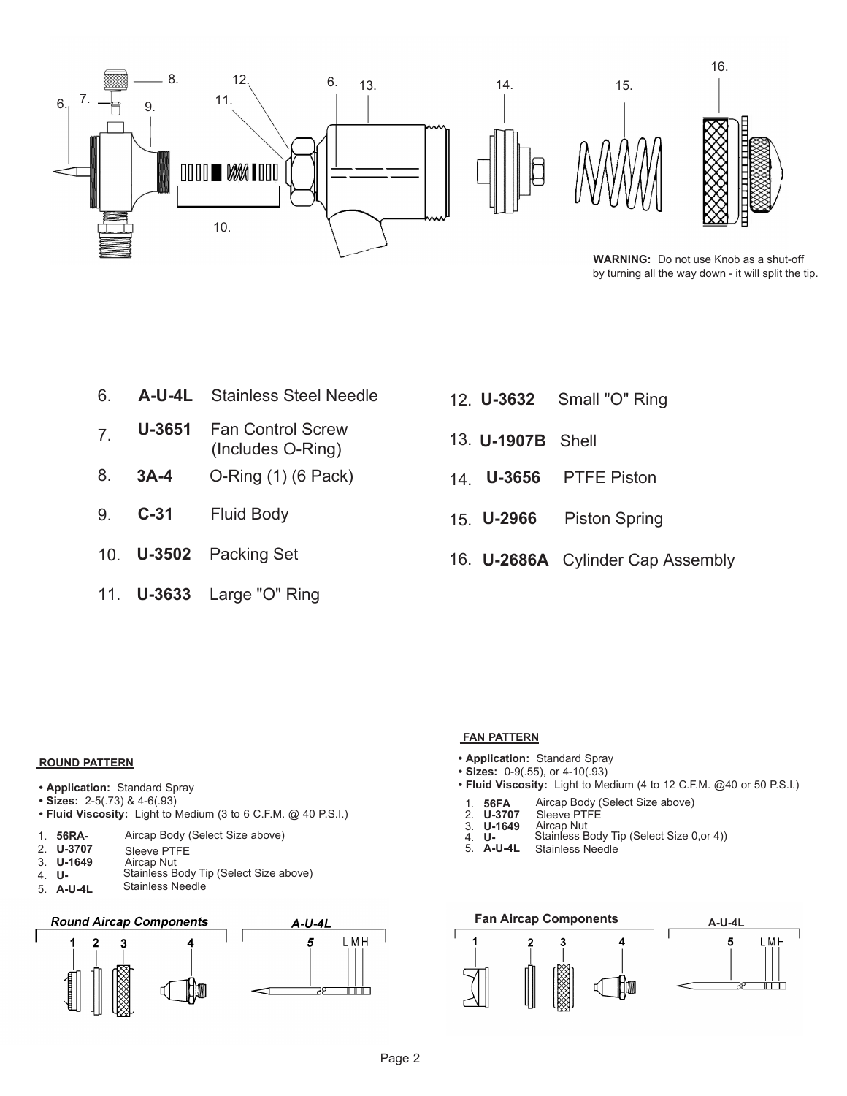

 **WARNING:** Do not use Knob as a shut-off by turning all the way down - it will split the tip.

- 6. **A-U-4L** Stainless Steel Needle
- 7. **U-3651** Fan Control Screw (Includes O-Ring)
- 8. **3A-4** O-Ring (1) (6 Pack)
- 9. **C-31** Fluid Body
- 10. **U-3502** Packing Set
- 11. **U-3633** Large "O" Ring
- 12. U-3632 Small "O" Ring
- 13. **U-1907B** Shell
- 14 U-3656 **PTFE Piston**
- 15. U-2966 **Piston Spring**
- 16. **U-2686A** Cylinder Cap Assembly

## **ROUND PATTERN**

- **Application:** Standard Spray
- **Sizes:** 2-5(.73) & 4-6(.93)
- **Fluid Viscosity:** Light to Medium (3 to 6 C.F.M. @ 40 P.S.I.)
- 1. **56RA-**Aircap Body (Select Size above)
- 2. **U-3707** Sleeve PTFE
- 3. **U-1649** Aircap Nut
- 4. **U-** Stainless Body Tip (Select Size above) Stainless Needle
- 5. **A-U-4L**



## **FAN PATTERN**

- **Application:** Standard Spray
- **Sizes:** 0-9(.55), or 4-10(.93)
- **Fluid Viscosity:** Light to Medium (4 to 12 C.F.M. @40 or 50 P.S.I.)
	- Aircap Body (Select Size above)
- 1. **56FA** 2. **U-3663** Sleeve PTFE
- 3. **U-1649** Aircap Nut
- 4. **U-**Stainless Body Tip (Select Size above)
- 5. **A-U-4L** Stainless Needle

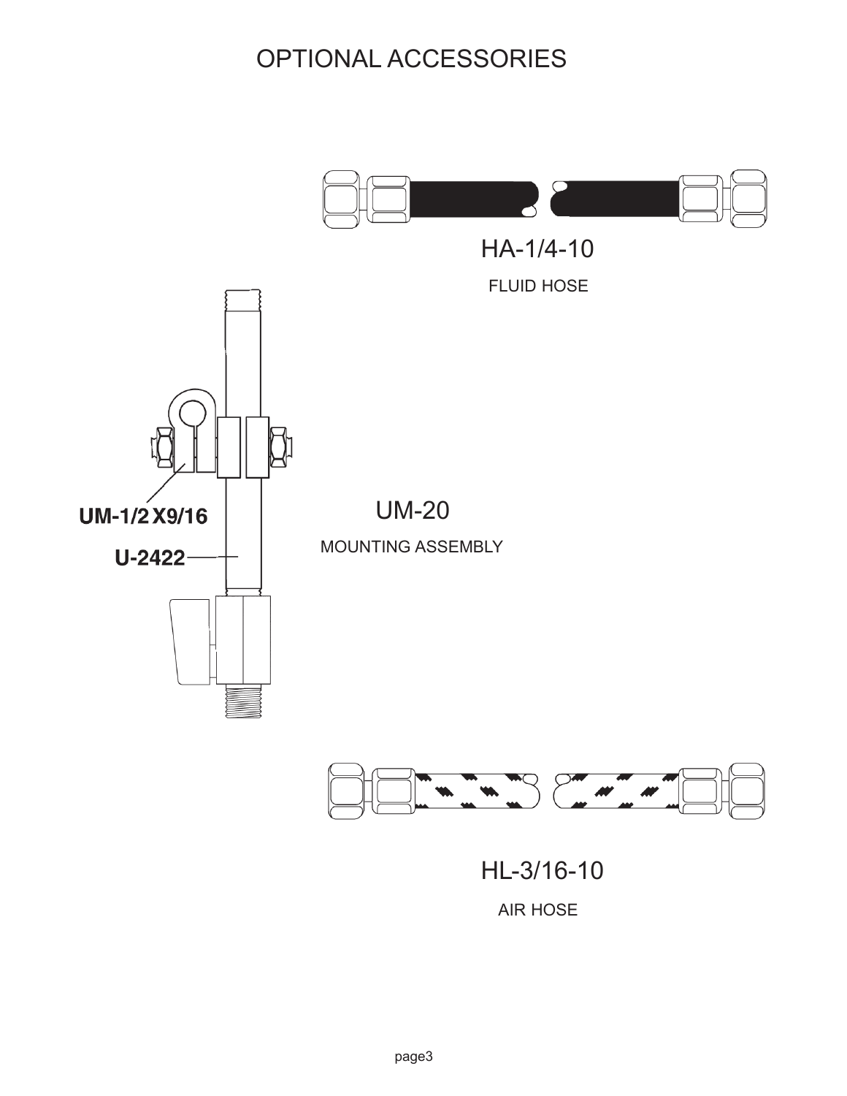## OPTIONAL ACCESSORIES



HL-3/16-10

AIR HOSE